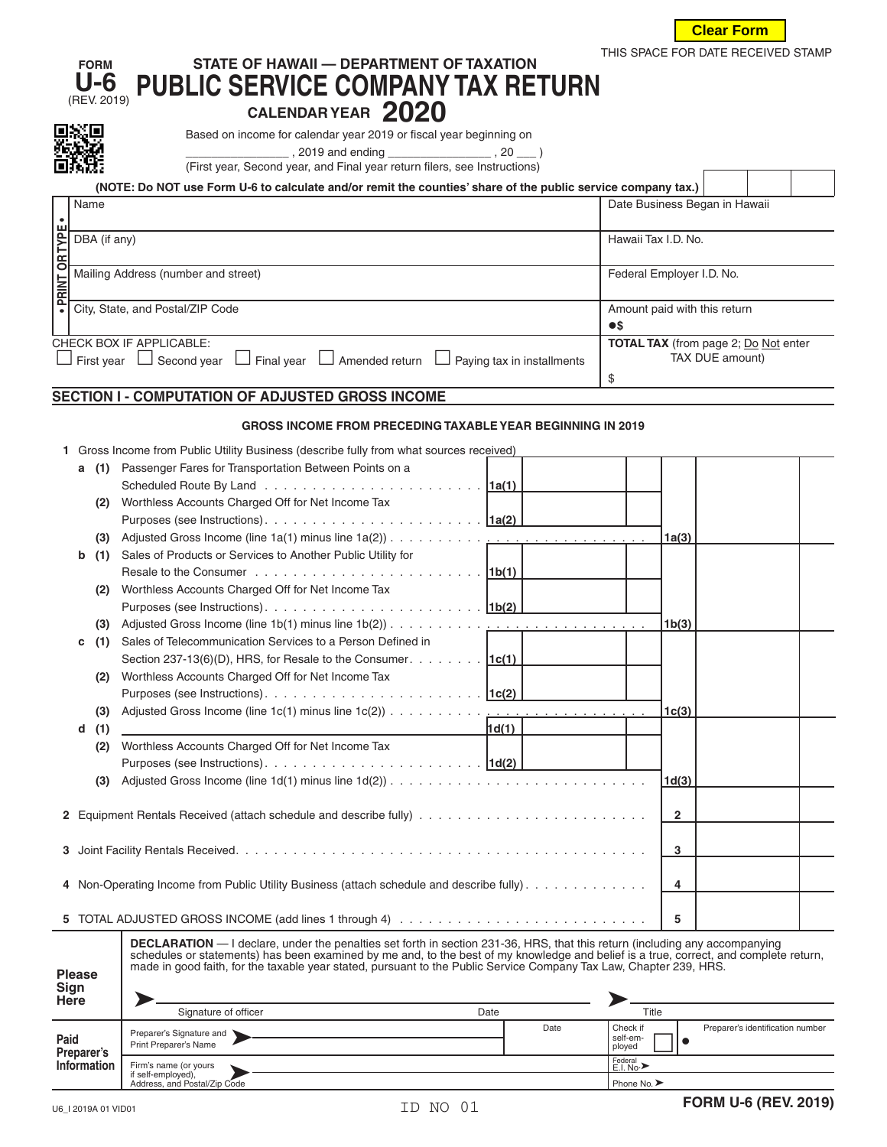

 $\Gamma$ 

 $\overline{\phantom{a}}$ 

 $\top$ 

 $\overline{\phantom{a}}$ 

## **FORM STATE OF HAWAII — DEPARTMENT OF TAXATION** STATE OF HAWAII — DEPARTMENT OF TAXATION THIS SPACE FOR DATE RECEIVED STAMP U-6<br> **NOTEV. 2019) PUBLIC SERVICE COMPANY TAX RETURN**

**CALENDAR YEAR** 2020<br> **EXELENDAR YEAR** 2019 or fiscal year beginning on

2≌∰dt<mark>.1</mark> \_\_\_\_\_\_\_\_\_\_\_\_\_\_\_\_\_\_\_ , 2019 and ending \_\_\_\_\_\_\_\_\_\_\_\_\_\_\_\_\_\_\_\_ , 20 \_\_\_\_ )

|  | (First year, Second year, and Final year return filers, see Instructions) |  |  |
|--|---------------------------------------------------------------------------|--|--|
|  |                                                                           |  |  |

|                      | (NOTE: Do NOT use Form U-6 to calculate and/or remit the counties' share of the public service company tax.) |                                             |  |  |  |  |
|----------------------|--------------------------------------------------------------------------------------------------------------|---------------------------------------------|--|--|--|--|
|                      | Name                                                                                                         | Date Business Began in Hawaii               |  |  |  |  |
|                      |                                                                                                              |                                             |  |  |  |  |
|                      | DBA (if any)                                                                                                 | Hawaii Tax I.D. No.                         |  |  |  |  |
|                      |                                                                                                              |                                             |  |  |  |  |
| <b>PRINT OR TYPE</b> | Mailing Address (number and street)                                                                          | Federal Employer I.D. No.                   |  |  |  |  |
|                      |                                                                                                              |                                             |  |  |  |  |
|                      | City, State, and Postal/ZIP Code                                                                             | Amount paid with this return                |  |  |  |  |
|                      |                                                                                                              | $\bullet$ s                                 |  |  |  |  |
|                      | <b>CHECK BOX IF APPLICABLE:</b>                                                                              | <b>TOTAL TAX</b> (from page 2; Do Not enter |  |  |  |  |
|                      | Second year<br>Amended return<br>$\Box$ First year<br>Final year<br>Paying tax in installments               | TAX DUE amount)                             |  |  |  |  |
|                      |                                                                                                              | \$                                          |  |  |  |  |

## **SECTION I - COMPUTATION OF ADJUSTED GROSS INCOME**

## **GROSS INCOME FROM PRECEDING TAXABLE YEAR BEGINNING IN 2019**

| 1 Gross Income from Public Utility Business (describe fully from what sources received) |  |  |  |  |
|-----------------------------------------------------------------------------------------|--|--|--|--|
|                                                                                         |  |  |  |  |
|                                                                                         |  |  |  |  |

|                 | DBA (if any)              |                                                                                                                                                                                                                                                                                                                                                                                                   |                                       | Hawaii Tax I.D. No.          |                    |                                             |  |
|-----------------|---------------------------|---------------------------------------------------------------------------------------------------------------------------------------------------------------------------------------------------------------------------------------------------------------------------------------------------------------------------------------------------------------------------------------------------|---------------------------------------|------------------------------|--------------------|---------------------------------------------|--|
| · PRINT OR TYPE |                           | Mailing Address (number and street)                                                                                                                                                                                                                                                                                                                                                               |                                       | Federal Employer I.D. No.    |                    |                                             |  |
|                 |                           | City, State, and Postal/ZIP Code                                                                                                                                                                                                                                                                                                                                                                  |                                       | Amount paid with this return |                    |                                             |  |
|                 |                           |                                                                                                                                                                                                                                                                                                                                                                                                   |                                       | $\bullet$ s                  |                    |                                             |  |
|                 |                           | CHECK BOX IF APPLICABLE:                                                                                                                                                                                                                                                                                                                                                                          |                                       |                              |                    | <b>TOTAL TAX</b> (from page 2; Do Not enter |  |
|                 |                           | $\Box$ First year $\Box$ Second year $\Box$ Final year $\Box$ Amended return $\Box$ Paying tax in installments                                                                                                                                                                                                                                                                                    |                                       |                              |                    | TAX DUE amount)                             |  |
|                 |                           |                                                                                                                                                                                                                                                                                                                                                                                                   |                                       | \$                           |                    |                                             |  |
|                 |                           | SECTION I - COMPUTATION OF ADJUSTED GROSS INCOME                                                                                                                                                                                                                                                                                                                                                  |                                       |                              |                    |                                             |  |
|                 |                           | <b>GROSS INCOME FROM PRECEDING TAXABLE YEAR BEGINNING IN 2019</b>                                                                                                                                                                                                                                                                                                                                 |                                       |                              |                    |                                             |  |
|                 |                           | 1 Gross Income from Public Utility Business (describe fully from what sources received)                                                                                                                                                                                                                                                                                                           |                                       |                              |                    |                                             |  |
|                 | (1)<br>а                  | Passenger Fares for Transportation Between Points on a                                                                                                                                                                                                                                                                                                                                            |                                       |                              |                    |                                             |  |
|                 |                           |                                                                                                                                                                                                                                                                                                                                                                                                   |                                       |                              |                    |                                             |  |
|                 | (2)                       | Worthless Accounts Charged Off for Net Income Tax                                                                                                                                                                                                                                                                                                                                                 |                                       |                              |                    |                                             |  |
|                 |                           |                                                                                                                                                                                                                                                                                                                                                                                                   |                                       |                              |                    |                                             |  |
|                 | (3)                       |                                                                                                                                                                                                                                                                                                                                                                                                   |                                       |                              | 1a(3)              |                                             |  |
|                 | b<br>(1)                  | Sales of Products or Services to Another Public Utility for                                                                                                                                                                                                                                                                                                                                       |                                       |                              |                    |                                             |  |
|                 |                           |                                                                                                                                                                                                                                                                                                                                                                                                   |                                       |                              |                    |                                             |  |
|                 | (2)                       | Worthless Accounts Charged Off for Net Income Tax                                                                                                                                                                                                                                                                                                                                                 |                                       |                              |                    |                                             |  |
|                 |                           |                                                                                                                                                                                                                                                                                                                                                                                                   |                                       |                              |                    |                                             |  |
|                 | (3)                       |                                                                                                                                                                                                                                                                                                                                                                                                   |                                       |                              | 1b(3)              |                                             |  |
|                 | (1)<br>с                  | Sales of Telecommunication Services to a Person Defined in                                                                                                                                                                                                                                                                                                                                        |                                       |                              |                    |                                             |  |
|                 |                           | Section 237-13(6)(D), HRS, for Resale to the Consumer. $\boxed{1c(1)}$                                                                                                                                                                                                                                                                                                                            |                                       |                              |                    |                                             |  |
|                 | (2)                       | Worthless Accounts Charged Off for Net Income Tax                                                                                                                                                                                                                                                                                                                                                 |                                       |                              |                    |                                             |  |
|                 |                           |                                                                                                                                                                                                                                                                                                                                                                                                   |                                       |                              |                    |                                             |  |
|                 | (3)                       | Adjusted Gross Income (line 1c(1) minus line 1c(2))                                                                                                                                                                                                                                                                                                                                               | and the company of the company of the |                              | 1 <sub>c</sub> (3) |                                             |  |
|                 | (1)<br>d                  |                                                                                                                                                                                                                                                                                                                                                                                                   | 1d(1)                                 |                              |                    |                                             |  |
|                 | (2)                       | Worthless Accounts Charged Off for Net Income Tax                                                                                                                                                                                                                                                                                                                                                 |                                       |                              |                    |                                             |  |
|                 |                           |                                                                                                                                                                                                                                                                                                                                                                                                   |                                       |                              |                    |                                             |  |
|                 | (3)                       |                                                                                                                                                                                                                                                                                                                                                                                                   |                                       |                              | 1d(3)              |                                             |  |
|                 |                           |                                                                                                                                                                                                                                                                                                                                                                                                   |                                       |                              |                    |                                             |  |
|                 |                           |                                                                                                                                                                                                                                                                                                                                                                                                   |                                       |                              | 2                  |                                             |  |
|                 |                           |                                                                                                                                                                                                                                                                                                                                                                                                   |                                       |                              |                    |                                             |  |
|                 |                           |                                                                                                                                                                                                                                                                                                                                                                                                   |                                       |                              | 3                  |                                             |  |
|                 |                           |                                                                                                                                                                                                                                                                                                                                                                                                   |                                       |                              |                    |                                             |  |
|                 |                           | 4 Non-Operating Income from Public Utility Business (attach schedule and describe fully).                                                                                                                                                                                                                                                                                                         |                                       |                              | 4                  |                                             |  |
|                 |                           |                                                                                                                                                                                                                                                                                                                                                                                                   |                                       |                              |                    |                                             |  |
|                 |                           |                                                                                                                                                                                                                                                                                                                                                                                                   |                                       |                              | 5                  |                                             |  |
|                 | <b>Please</b>             | <b>DECLARATION</b> — I declare, under the penalties set forth in section 231-36, HRS, that this return (including any accompanying<br>schedules or statements) has been examined by me and, to the best of my knowledge and belief is a true, correct, and complete return,<br>made in good faith, for the taxable year stated, pursuant to the Public Service Company Tax Law, Chapter 239, HRS. |                                       |                              |                    |                                             |  |
|                 | Sign                      |                                                                                                                                                                                                                                                                                                                                                                                                   |                                       |                              |                    |                                             |  |
|                 | Here                      | Signature of officer                                                                                                                                                                                                                                                                                                                                                                              | Date                                  | Title                        |                    |                                             |  |
|                 |                           | Preparer's Signature and                                                                                                                                                                                                                                                                                                                                                                          | Date                                  | Check if                     |                    | Preparer's identification number            |  |
| Paid            |                           | Print Preparer's Name                                                                                                                                                                                                                                                                                                                                                                             |                                       | self-em-<br>ployed           | $\bullet$          |                                             |  |
|                 | Preparer's<br>Information | Firm's name (or yours                                                                                                                                                                                                                                                                                                                                                                             |                                       | Federal<br>E.I. No.>         |                    |                                             |  |

| יישיט<br><b>Here</b>                     |                                                   |      |      |                                    |                                  |  |  |
|------------------------------------------|---------------------------------------------------|------|------|------------------------------------|----------------------------------|--|--|
|                                          | Signature of officer                              | Date |      | Title                              |                                  |  |  |
| Paid<br>Preparer's<br><b>Information</b> | Preparer's Signature and<br>Print Preparer's Name |      | Date | l Check if<br>l self-em-<br>ployed | Preparer's identification number |  |  |
|                                          | Firm's name (or yours<br>if self-employed),       |      |      | Federal<br>E.I. No.>               |                                  |  |  |
|                                          | Address, and Postal/Zip Code                      |      |      | Phone No. >                        |                                  |  |  |

÷